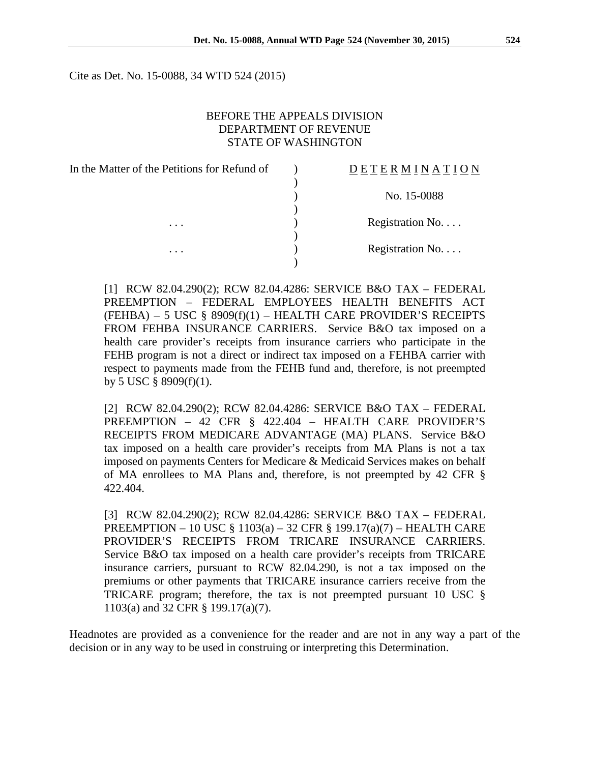Cite as Det. No. 15-0088, 34 WTD 524 (2015)

### BEFORE THE APPEALS DIVISION DEPARTMENT OF REVENUE STATE OF WASHINGTON

| In the Matter of the Petitions for Refund of | MINATI<br>$\mathbf{E}$ |
|----------------------------------------------|------------------------|
|                                              |                        |
|                                              | No. 15-0088            |
|                                              |                        |
| $\cdots$                                     | Registration No.       |
|                                              |                        |
| $\cdots$                                     | Registration No.       |
|                                              |                        |

[1] RCW 82.04.290(2); RCW 82.04.4286: SERVICE B&O TAX – FEDERAL PREEMPTION – FEDERAL EMPLOYEES HEALTH BENEFITS ACT  $(FEHBA) - 5$  USC § 8909 $(f)(1) - HEALTH$  CARE PROVIDER'S RECEIPTS FROM FEHBA INSURANCE CARRIERS. Service B&O tax imposed on a health care provider's receipts from insurance carriers who participate in the FEHB program is not a direct or indirect tax imposed on a FEHBA carrier with respect to payments made from the FEHB fund and, therefore, is not preempted by 5 USC § 8909(f)(1).

[2] RCW 82.04.290(2); RCW 82.04.4286: SERVICE B&O TAX – FEDERAL PREEMPTION – 42 CFR § 422.404 – HEALTH CARE PROVIDER'S RECEIPTS FROM MEDICARE ADVANTAGE (MA) PLANS. Service B&O tax imposed on a health care provider's receipts from MA Plans is not a tax imposed on payments Centers for Medicare & Medicaid Services makes on behalf of MA enrollees to MA Plans and, therefore, is not preempted by 42 CFR § 422.404.

[3] RCW 82.04.290(2); RCW 82.04.4286: SERVICE B&O TAX – FEDERAL PREEMPTION – 10 USC § 1103(a) – 32 CFR § 199.17(a)(7) – HEALTH CARE PROVIDER'S RECEIPTS FROM TRICARE INSURANCE CARRIERS. Service B&O tax imposed on a health care provider's receipts from TRICARE insurance carriers, pursuant to RCW 82.04.290, is not a tax imposed on the premiums or other payments that TRICARE insurance carriers receive from the TRICARE program; therefore, the tax is not preempted pursuant 10 USC § 1103(a) and 32 CFR § 199.17(a)(7).

Headnotes are provided as a convenience for the reader and are not in any way a part of the decision or in any way to be used in construing or interpreting this Determination.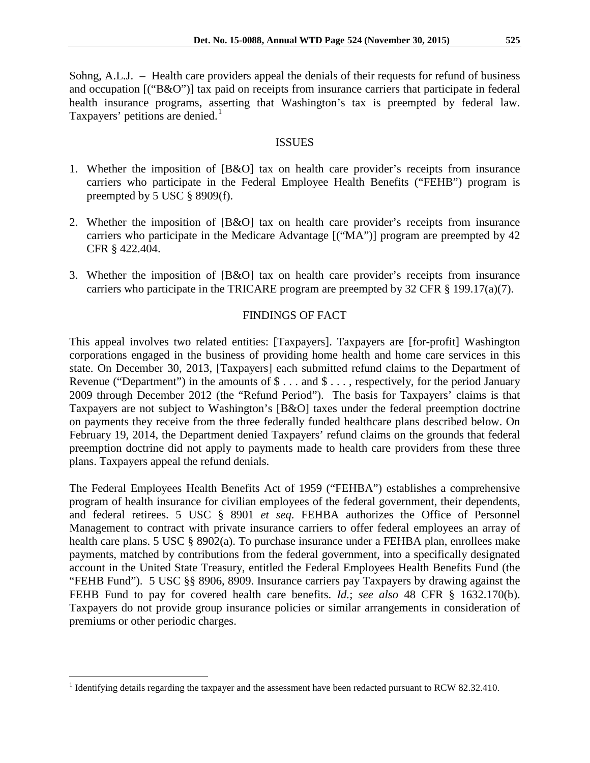Sohng, A.L.J. – Health care providers appeal the denials of their requests for refund of business and occupation [("B&O")] tax paid on receipts from insurance carriers that participate in federal health insurance programs, asserting that Washington's tax is preempted by federal law. Taxpayers' petitions are denied.<sup>[1](#page-1-0)</sup>

### ISSUES

- 1. Whether the imposition of [B&O] tax on health care provider's receipts from insurance carriers who participate in the Federal Employee Health Benefits ("FEHB") program is preempted by 5 USC § 8909(f).
- 2. Whether the imposition of [B&O] tax on health care provider's receipts from insurance carriers who participate in the Medicare Advantage [("MA")] program are preempted by 42 CFR § 422.404.
- 3. Whether the imposition of [B&O] tax on health care provider's receipts from insurance carriers who participate in the TRICARE program are preempted by 32 CFR  $\S$  199.17(a)(7).

## FINDINGS OF FACT

This appeal involves two related entities: [Taxpayers]. Taxpayers are [for-profit] Washington corporations engaged in the business of providing home health and home care services in this state. On December 30, 2013, [Taxpayers] each submitted refund claims to the Department of Revenue ("Department") in the amounts of  $\$\dots$  and  $\$\dots$ , respectively, for the period January 2009 through December 2012 (the "Refund Period"). The basis for Taxpayers' claims is that Taxpayers are not subject to Washington's [B&O] taxes under the federal preemption doctrine on payments they receive from the three federally funded healthcare plans described below. On February 19, 2014, the Department denied Taxpayers' refund claims on the grounds that federal preemption doctrine did not apply to payments made to health care providers from these three plans. Taxpayers appeal the refund denials.

The Federal Employees Health Benefits Act of 1959 ("FEHBA") establishes a comprehensive program of health insurance for civilian employees of the federal government, their dependents, and federal retirees. 5 USC § 8901 *et seq*. FEHBA authorizes the Office of Personnel Management to contract with private insurance carriers to offer federal employees an array of health care plans. 5 USC § 8902(a). To purchase insurance under a FEHBA plan, enrollees make payments, matched by contributions from the federal government, into a specifically designated account in the United State Treasury, entitled the Federal Employees Health Benefits Fund (the "FEHB Fund"). 5 USC §§ 8906, 8909. Insurance carriers pay Taxpayers by drawing against the FEHB Fund to pay for covered health care benefits. *Id.*; *see also* 48 CFR § 1632.170(b). Taxpayers do not provide group insurance policies or similar arrangements in consideration of premiums or other periodic charges.

<span id="page-1-0"></span><sup>&</sup>lt;sup>1</sup> Identifying details regarding the taxpayer and the assessment have been redacted pursuant to RCW 82.32.410.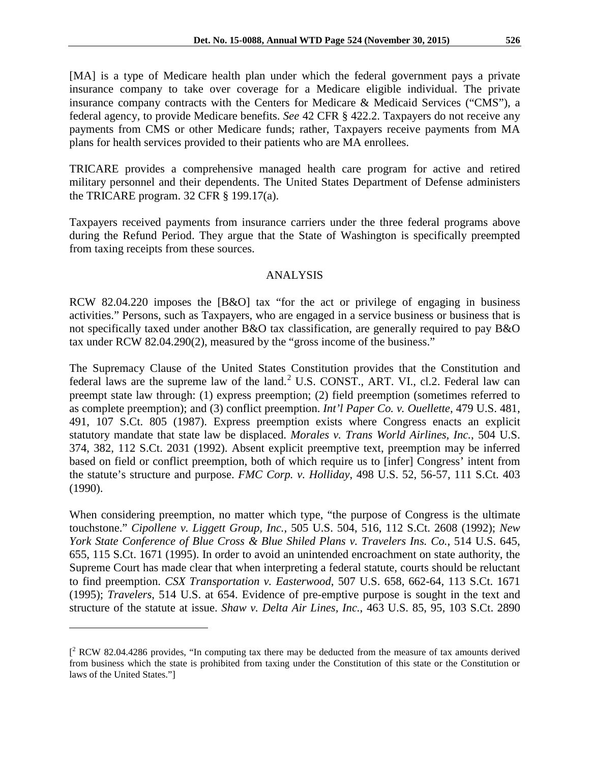[MA] is a type of Medicare health plan under which the federal government pays a private insurance company to take over coverage for a Medicare eligible individual. The private insurance company contracts with the Centers for Medicare & Medicaid Services ("CMS"), a federal agency, to provide Medicare benefits. *See* 42 CFR § 422.2. Taxpayers do not receive any payments from CMS or other Medicare funds; rather, Taxpayers receive payments from MA plans for health services provided to their patients who are MA enrollees.

TRICARE provides a comprehensive managed health care program for active and retired military personnel and their dependents. The United States Department of Defense administers the TRICARE program. 32 CFR § 199.17(a).

Taxpayers received payments from insurance carriers under the three federal programs above during the Refund Period. They argue that the State of Washington is specifically preempted from taxing receipts from these sources.

## ANALYSIS

RCW 82.04.220 imposes the [B&O] tax "for the act or privilege of engaging in business activities." Persons, such as Taxpayers, who are engaged in a service business or business that is not specifically taxed under another B&O tax classification, are generally required to pay B&O tax under RCW 82.04.290(2), measured by the "gross income of the business."

The Supremacy Clause of the United States Constitution provides that the Constitution and federal laws are the supreme law of the land.<sup>[2](#page-2-0)</sup> U.S. CONST., ART. VI., cl.2. Federal law can preempt state law through: (1) express preemption; (2) field preemption (sometimes referred to as complete preemption); and (3) conflict preemption. *Int'l Paper Co. v. Ouellette*, 479 U.S. 481, 491, 107 S.Ct. 805 (1987). Express preemption exists where Congress enacts an explicit statutory mandate that state law be displaced. *Morales v. Trans World Airlines, Inc.*, 504 U.S. 374, 382, 112 S.Ct. 2031 (1992). Absent explicit preemptive text, preemption may be inferred based on field or conflict preemption, both of which require us to [infer] Congress' intent from the statute's structure and purpose. *FMC Corp. v. Holliday*, 498 U.S. 52, 56-57, 111 S.Ct. 403 (1990).

When considering preemption, no matter which type, "the purpose of Congress is the ultimate touchstone." *Cipollene v. Liggett Group, Inc.*, 505 U.S. 504, 516, 112 S.Ct. 2608 (1992); *New York State Conference of Blue Cross & Blue Shiled Plans v. Travelers Ins. Co.*, 514 U.S. 645, 655, 115 S.Ct. 1671 (1995). In order to avoid an unintended encroachment on state authority, the Supreme Court has made clear that when interpreting a federal statute, courts should be reluctant to find preemption. *CSX Transportation v. Easterwood*, 507 U.S. 658, 662-64, 113 S.Ct. 1671 (1995); *Travelers*, 514 U.S. at 654. Evidence of pre-emptive purpose is sought in the text and structure of the statute at issue. *Shaw v. Delta Air Lines, Inc.*, 463 U.S. 85, 95, 103 S.Ct. 2890

 $\overline{a}$ 

<span id="page-2-0"></span> $[^2$  RCW 82.04.4286 provides, "In computing tax there may be deducted from the measure of tax amounts derived from business which the state is prohibited from taxing under the Constitution of this state or the Constitution or laws of the United States."]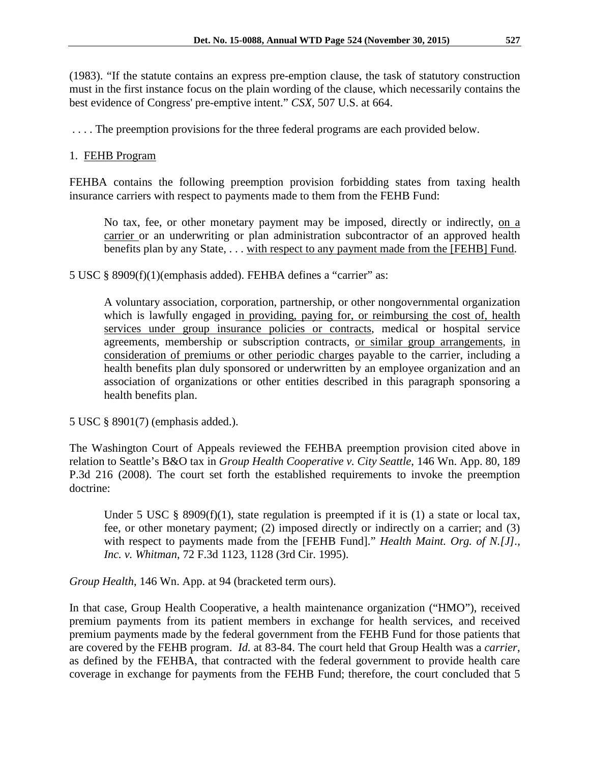(1983). "If the statute contains an express pre-emption clause, the task of statutory construction must in the first instance focus on the plain wording of the clause, which necessarily contains the best evidence of Congress' pre-emptive intent." *CSX*, 507 U.S. at 664.

. . . . The preemption provisions for the three federal programs are each provided below.

## 1. FEHB Program

FEHBA contains the following preemption provision forbidding states from taxing health insurance carriers with respect to payments made to them from the FEHB Fund:

No tax, fee, or other monetary payment may be imposed, directly or indirectly, on a carrier or an underwriting or plan administration subcontractor of an approved health benefits plan by any State, . . . with respect to any payment made from the [FEHB] Fund.

5 USC § 8909(f)(1)(emphasis added). FEHBA defines a "carrier" as:

A voluntary association, corporation, partnership, or other nongovernmental organization which is lawfully engaged in providing, paying for, or reimbursing the cost of, health services under group insurance policies or contracts, medical or hospital service agreements, membership or subscription contracts, or similar group arrangements, in consideration of premiums or other periodic charges payable to the carrier, including a health benefits plan duly sponsored or underwritten by an employee organization and an association of organizations or other entities described in this paragraph sponsoring a health benefits plan.

5 USC § 8901(7) (emphasis added.).

The Washington Court of Appeals reviewed the FEHBA preemption provision cited above in relation to Seattle's B&O tax in *Group Health Cooperative v. City Seattle*, 146 Wn. App. 80, 189 P.3d 216 (2008). The court set forth the established requirements to invoke the preemption doctrine:

Under 5 USC  $\S$  8909(f)(1), state regulation is preempted if it is (1) a state or local tax, fee, or other monetary payment; (2) imposed directly or indirectly on a carrier; and (3) with respect to payments made from the [FEHB Fund]." *Health Maint. Org. of N.[J]., Inc. v. Whitman*, 72 F.3d 1123, 1128 (3rd Cir. 1995).

*Group Health*, 146 Wn. App. at 94 (bracketed term ours).

In that case, Group Health Cooperative, a health maintenance organization ("HMO"), received premium payments from its patient members in exchange for health services, and received premium payments made by the federal government from the FEHB Fund for those patients that are covered by the FEHB program. *Id.* at 83-84. The court held that Group Health was a *carrier*, as defined by the FEHBA, that contracted with the federal government to provide health care coverage in exchange for payments from the FEHB Fund; therefore, the court concluded that 5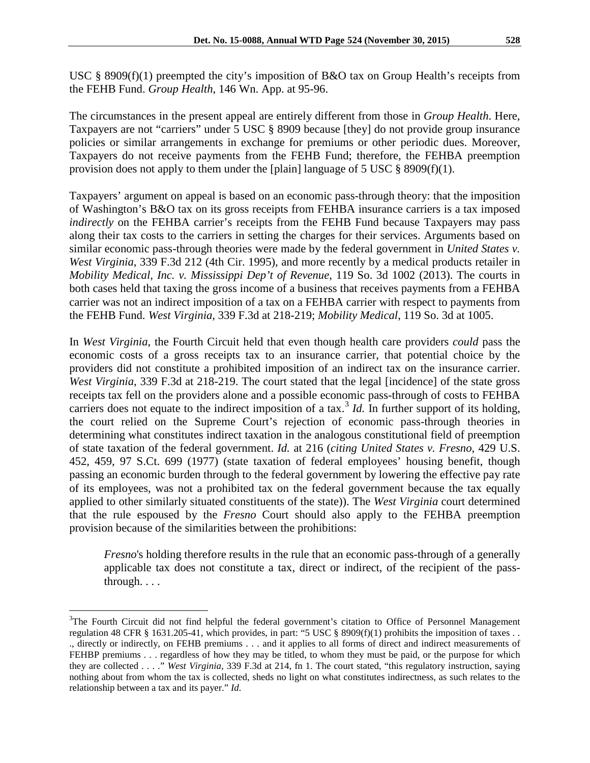USC § 8909(f)(1) preempted the city's imposition of B&O tax on Group Health's receipts from the FEHB Fund. *Group Health*, 146 Wn. App. at 95-96.

The circumstances in the present appeal are entirely different from those in *Group Health*. Here, Taxpayers are not "carriers" under 5 USC § 8909 because [they] do not provide group insurance policies or similar arrangements in exchange for premiums or other periodic dues. Moreover, Taxpayers do not receive payments from the FEHB Fund; therefore, the FEHBA preemption provision does not apply to them under the [plain] language of 5 USC § 8909(f)(1).

Taxpayers' argument on appeal is based on an economic pass-through theory: that the imposition of Washington's B&O tax on its gross receipts from FEHBA insurance carriers is a tax imposed *indirectly* on the FEHBA carrier's receipts from the FEHB Fund because Taxpayers may pass along their tax costs to the carriers in setting the charges for their services. Arguments based on similar economic pass-through theories were made by the federal government in *United States v. West Virginia*, 339 F.3d 212 (4th Cir. 1995), and more recently by a medical products retailer in *Mobility Medical, Inc. v. Mississippi Dep't of Revenue*, 119 So. 3d 1002 (2013). The courts in both cases held that taxing the gross income of a business that receives payments from a FEHBA carrier was not an indirect imposition of a tax on a FEHBA carrier with respect to payments from the FEHB Fund. *West Virginia*, 339 F.3d at 218-219; *Mobility Medical*, 119 So. 3d at 1005.

In *West Virginia*, the Fourth Circuit held that even though health care providers *could* pass the economic costs of a gross receipts tax to an insurance carrier, that potential choice by the providers did not constitute a prohibited imposition of an indirect tax on the insurance carrier. *West Virginia*, 339 F.3d at 218-219. The court stated that the legal [incidence] of the state gross receipts tax fell on the providers alone and a possible economic pass-through of costs to FEHBA carriers does not equate to the indirect imposition of a tax.<sup>[3](#page-4-0)</sup> *Id.* In further support of its holding, the court relied on the Supreme Court's rejection of economic pass-through theories in determining what constitutes indirect taxation in the analogous constitutional field of preemption of state taxation of the federal government. *Id.* at 216 (*citing United States v. Fresno*, 429 U.S. 452, 459, 97 S.Ct. 699 (1977) (state taxation of federal employees' housing benefit, though passing an economic burden through to the federal government by lowering the effective pay rate of its employees, was not a prohibited tax on the federal government because the tax equally applied to other similarly situated constituents of the state)). The *West Virginia* court determined that the rule espoused by the *Fresno* Court should also apply to the FEHBA preemption provision because of the similarities between the prohibitions:

*Fresno*'s holding therefore results in the rule that an economic pass-through of a generally applicable tax does not constitute a tax, direct or indirect, of the recipient of the passthrough. . . .

<span id="page-4-0"></span><sup>&</sup>lt;sup>2</sup><br>3  $T$ The Fourth Circuit did not find helpful the federal government's citation to Office of Personnel Management regulation 48 CFR § 1631.205-41, which provides, in part: "5 USC § 8909(f)(1) prohibits the imposition of taxes ... ., directly or indirectly, on FEHB premiums . . . and it applies to all forms of direct and indirect measurements of FEHBP premiums . . . regardless of how they may be titled, to whom they must be paid, or the purpose for which they are collected . . . ." *West Virginia*, 339 F.3d at 214, fn 1. The court stated, "this regulatory instruction, saying nothing about from whom the tax is collected, sheds no light on what constitutes indirectness, as such relates to the relationship between a tax and its payer." *Id.*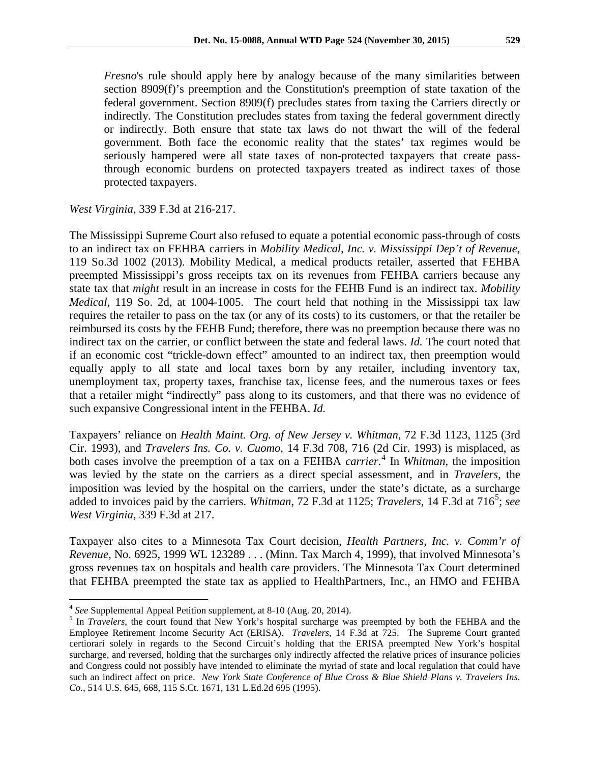*Fresno*'s rule should apply here by analogy because of the many similarities between section 8909(f)'s preemption and the Constitution's preemption of state taxation of the federal government. Section 8909(f) precludes states from taxing the Carriers directly or indirectly. The Constitution precludes states from taxing the federal government directly or indirectly. Both ensure that state tax laws do not thwart the will of the federal government. Both face the economic reality that the states' tax regimes would be seriously hampered were all state taxes of non-protected taxpayers that create passthrough economic burdens on protected taxpayers treated as indirect taxes of those protected taxpayers.

*West Virginia*, 339 F.3d at 216-217.

The Mississippi Supreme Court also refused to equate a potential economic pass-through of costs to an indirect tax on FEHBA carriers in *Mobility Medical, Inc. v. Mississippi Dep't of Revenue*, 119 So.3d 1002 (2013). Mobility Medical, a medical products retailer, asserted that FEHBA preempted Mississippi's gross receipts tax on its revenues from FEHBA carriers because any state tax that *might* result in an increase in costs for the FEHB Fund is an indirect tax. *Mobility Medical*, 119 So. 2d, at 1004-1005. The court held that nothing in the Mississippi tax law requires the retailer to pass on the tax (or any of its costs) to its customers, or that the retailer be reimbursed its costs by the FEHB Fund; therefore, there was no preemption because there was no indirect tax on the carrier, or conflict between the state and federal laws. *Id.* The court noted that if an economic cost "trickle-down effect" amounted to an indirect tax, then preemption would equally apply to all state and local taxes born by any retailer, including inventory tax, unemployment tax, property taxes, franchise tax, license fees, and the numerous taxes or fees that a retailer might "indirectly" pass along to its customers, and that there was no evidence of such expansive Congressional intent in the FEHBA. *Id.*

Taxpayers' reliance on *Health Maint. Org. of New Jersey v. Whitman*, 72 F.3d 1123, 1125 (3rd Cir. 1993), and *Travelers Ins. Co. v. Cuomo*, 14 F.3d 708, 716 (2d Cir. 1993) is misplaced, as both cases involve the preemption of a tax on a FEHBA *carrier*. [4](#page-5-0) In *Whitman*, the imposition was levied by the state on the carriers as a direct special assessment, and in *Travelers*, the imposition was levied by the hospital on the carriers, under the state's dictate, as a surcharge added to invoices paid by the carriers. *Whitman*, 72 F.3d at 112[5](#page-5-1); *Travelers*, 14 F.3d at 716<sup>5</sup>; *see West Virginia*, 339 F.3d at 217.

Taxpayer also cites to a Minnesota Tax Court decision, *Health Partners, Inc. v. Comm'r of Revenue*, No. 6925, 1999 WL 123289 . . . (Minn. Tax March 4, 1999), that involved Minnesota's gross revenues tax on hospitals and health care providers. The Minnesota Tax Court determined that FEHBA preempted the state tax as applied to HealthPartners, Inc., an HMO and FEHBA

<span id="page-5-1"></span><span id="page-5-0"></span><sup>&</sup>lt;sup>4</sup> See Supplemental Appeal Petition supplement, at 8-10 (Aug. 20, 2014).<br><sup>5</sup> In *Travelers*, the court found that New York's hospital surcharge was preempted by both the FEHBA and the Employee Retirement Income Security Act (ERISA). *Travelers*, 14 F.3d at 725. The Supreme Court granted certiorari solely in regards to the Second Circuit's holding that the ERISA preempted New York's hospital surcharge, and reversed, holding that the surcharges only indirectly affected the relative prices of insurance policies and Congress could not possibly have intended to eliminate the myriad of state and local regulation that could have such an indirect affect on price. *New York State Conference of Blue Cross & Blue Shield Plans v. Travelers Ins. Co.*, 514 U.S. 645, 668, 115 S.Ct. 1671, 131 L.Ed.2d 695 (1995).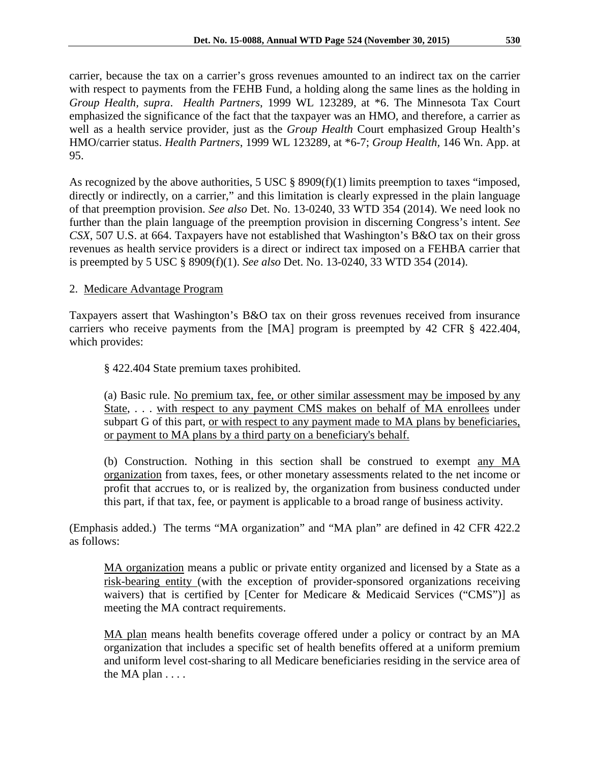carrier, because the tax on a carrier's gross revenues amounted to an indirect tax on the carrier with respect to payments from the FEHB Fund, a holding along the same lines as the holding in *Group Health, supra*. *Health Partners*, 1999 WL 123289, at \*6. The Minnesota Tax Court emphasized the significance of the fact that the taxpayer was an HMO, and therefore, a carrier as well as a health service provider, just as the *Group Health* Court emphasized Group Health's HMO/carrier status. *Health Partners*, 1999 WL 123289, at \*6-7; *Group Health,* 146 Wn. App. at 95.

As recognized by the above authorities, 5 USC § 8909(f)(1) limits preemption to taxes "imposed, directly or indirectly, on a carrier," and this limitation is clearly expressed in the plain language of that preemption provision. *See also* Det. No. 13-0240, 33 WTD 354 (2014). We need look no further than the plain language of the preemption provision in discerning Congress's intent. *See CSX*, 507 U.S. at 664. Taxpayers have not established that Washington's B&O tax on their gross revenues as health service providers is a direct or indirect tax imposed on a FEHBA carrier that is preempted by 5 USC § 8909(f)(1). *See also* Det. No. 13-0240, 33 WTD 354 (2014).

# 2. Medicare Advantage Program

Taxpayers assert that Washington's B&O tax on their gross revenues received from insurance carriers who receive payments from the [MA] program is preempted by 42 CFR § 422.404, which provides:

§ 422.404 State premium taxes prohibited.

(a) Basic rule. No premium tax, fee, or other similar assessment may be imposed by any State, ... with respect to any payment CMS makes on behalf of MA enrollees under subpart G of this part, or with respect to any payment made to MA plans by beneficiaries, or payment to MA plans by a third party on a beneficiary's behalf.

(b) Construction. Nothing in this section shall be construed to exempt any MA organization from taxes, fees, or other monetary assessments related to the net income or profit that accrues to, or is realized by, the organization from business conducted under this part, if that tax, fee, or payment is applicable to a broad range of business activity.

(Emphasis added.) The terms "MA organization" and "MA plan" are defined in 42 CFR 422.2 as follows:

MA organization means a public or private entity organized and licensed by a State as a risk-bearing entity (with the exception of provider-sponsored organizations receiving waivers) that is certified by [Center for Medicare & Medicaid Services ("CMS")] as meeting the MA contract requirements.

MA plan means health benefits coverage offered under a policy or contract by an MA organization that includes a specific set of health benefits offered at a uniform premium and uniform level cost-sharing to all Medicare beneficiaries residing in the service area of the MA plan . . . .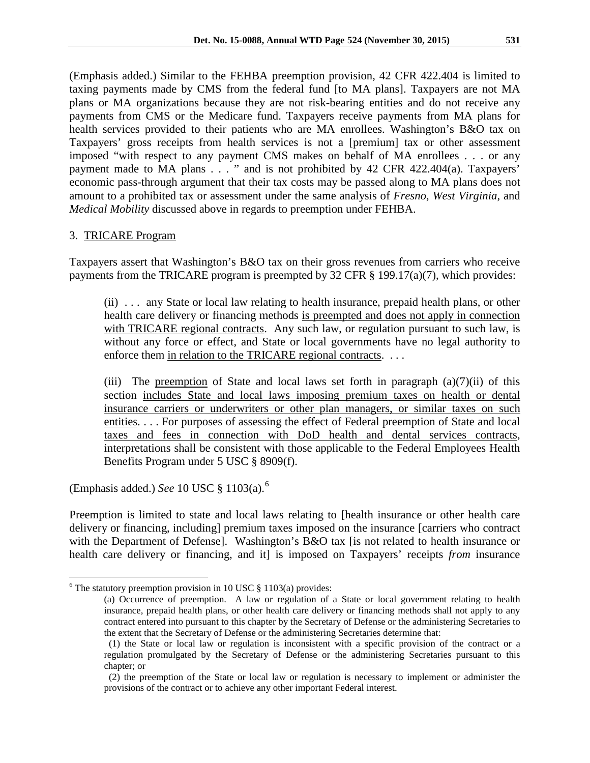(Emphasis added.) Similar to the FEHBA preemption provision, 42 CFR 422.404 is limited to taxing payments made by CMS from the federal fund [to MA plans]. Taxpayers are not MA plans or MA organizations because they are not risk-bearing entities and do not receive any payments from CMS or the Medicare fund. Taxpayers receive payments from MA plans for health services provided to their patients who are MA enrollees. Washington's B&O tax on Taxpayers' gross receipts from health services is not a [premium] tax or other assessment imposed "with respect to any payment CMS makes on behalf of MA enrollees . . . or any payment made to MA plans . . . " and is not prohibited by 42 CFR 422.404(a). Taxpayers' economic pass-through argument that their tax costs may be passed along to MA plans does not amount to a prohibited tax or assessment under the same analysis of *Fresno*, *West Virginia*, and *Medical Mobility* discussed above in regards to preemption under FEHBA.

# 3. TRICARE Program

Taxpayers assert that Washington's B&O tax on their gross revenues from carriers who receive payments from the TRICARE program is preempted by 32 CFR § 199.17(a)(7), which provides:

(ii) . . . any State or local law relating to health insurance, prepaid health plans, or other health care delivery or financing methods is preempted and does not apply in connection with TRICARE regional contracts. Any such law, or regulation pursuant to such law, is without any force or effect, and State or local governments have no legal authority to enforce them in relation to the TRICARE regional contracts. ...

(iii) The preemption of State and local laws set forth in paragraph  $(a)(7)(ii)$  of this section includes State and local laws imposing premium taxes on health or dental insurance carriers or underwriters or other plan managers, or similar taxes on such entities. . . . For purposes of assessing the effect of Federal preemption of State and local taxes and fees in connection with DoD health and dental services contracts, interpretations shall be consistent with those applicable to the Federal Employees Health Benefits Program under 5 USC § 8909(f).

(Emphasis added.) *See* 10 USC § 1103(a).[6](#page-7-0)

Preemption is limited to state and local laws relating to [health insurance or other health care delivery or financing, including] premium taxes imposed on the insurance [carriers who contract with the Department of Defensel. Washington's B&O tax [is not related to health insurance or health care delivery or financing, and it] is imposed on Taxpayers' receipts *from* insurance

<span id="page-7-0"></span> $6$  The statutory preemption provision in 10 USC § 1103(a) provides:

<sup>(</sup>a) Occurrence of preemption. A law or regulation of a State or local government relating to health insurance, prepaid health plans, or other health care delivery or financing methods shall not apply to any contract entered into pursuant to this chapter by the Secretary of Defense or the administering Secretaries to the extent that the Secretary of Defense or the administering Secretaries determine that:

 <sup>(1)</sup> the State or local law or regulation is inconsistent with a specific provision of the contract or a regulation promulgated by the Secretary of Defense or the administering Secretaries pursuant to this chapter; or

 <sup>(2)</sup> the preemption of the State or local law or regulation is necessary to implement or administer the provisions of the contract or to achieve any other important Federal interest.